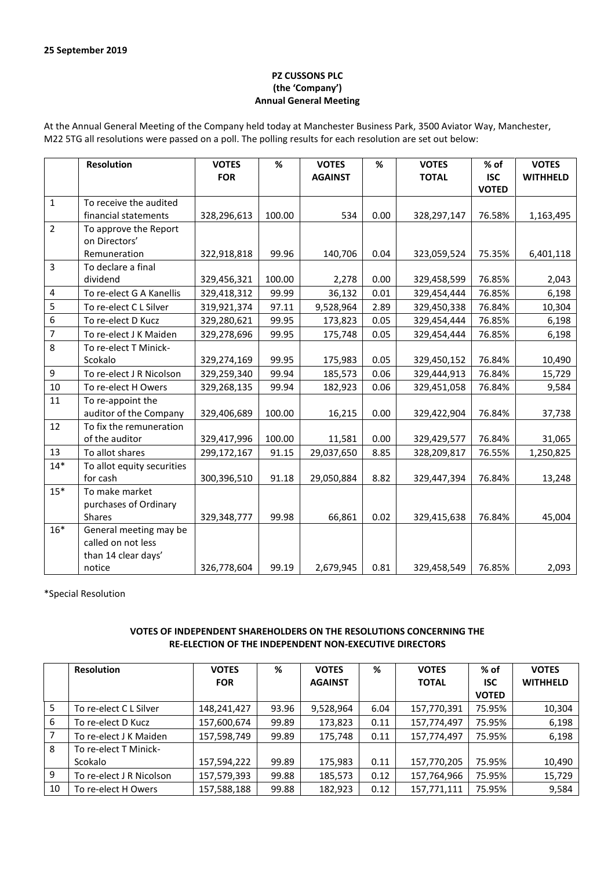## **PZ CUSSONS PLC (the 'Company') Annual General Meeting**

At the Annual General Meeting of the Company held today at Manchester Business Park, 3500 Aviator Way, Manchester, M22 5TG all resolutions were passed on a poll. The polling results for each resolution are set out below:

|                | <b>Resolution</b>          | <b>VOTES</b><br><b>FOR</b> | %      | <b>VOTES</b><br><b>AGAINST</b> | %    | <b>VOTES</b><br><b>TOTAL</b> | % of<br><b>ISC</b> | <b>VOTES</b><br><b>WITHHELD</b> |
|----------------|----------------------------|----------------------------|--------|--------------------------------|------|------------------------------|--------------------|---------------------------------|
|                |                            |                            |        |                                |      |                              | <b>VOTED</b>       |                                 |
| $\mathbf{1}$   | To receive the audited     |                            |        |                                |      |                              |                    |                                 |
|                | financial statements       | 328,296,613                | 100.00 | 534                            | 0.00 | 328,297,147                  | 76.58%             | 1,163,495                       |
| $\overline{2}$ | To approve the Report      |                            |        |                                |      |                              |                    |                                 |
|                | on Directors'              |                            |        |                                |      |                              |                    |                                 |
|                | Remuneration               | 322,918,818                | 99.96  | 140,706                        | 0.04 | 323,059,524                  | 75.35%             | 6,401,118                       |
| $\overline{3}$ | To declare a final         |                            |        |                                |      |                              |                    |                                 |
|                | dividend                   | 329,456,321                | 100.00 | 2,278                          | 0.00 | 329,458,599                  | 76.85%             | 2,043                           |
| $\pmb{4}$      | To re-elect G A Kanellis   | 329,418,312                | 99.99  | 36,132                         | 0.01 | 329,454,444                  | 76.85%             | 6,198                           |
| 5              | To re-elect C L Silver     | 319,921,374                | 97.11  | 9,528,964                      | 2.89 | 329,450,338                  | 76.84%             | 10,304                          |
| 6              | To re-elect D Kucz         | 329,280,621                | 99.95  | 173,823                        | 0.05 | 329,454,444                  | 76.85%             | 6,198                           |
| $\overline{7}$ | To re-elect J K Maiden     | 329,278,696                | 99.95  | 175,748                        | 0.05 | 329,454,444                  | 76.85%             | 6,198                           |
| 8              | To re-elect T Minick-      |                            |        |                                |      |                              |                    |                                 |
|                | Scokalo                    | 329,274,169                | 99.95  | 175,983                        | 0.05 | 329,450,152                  | 76.84%             | 10,490                          |
| $\mathsf g$    | To re-elect J R Nicolson   | 329,259,340                | 99.94  | 185,573                        | 0.06 | 329,444,913                  | 76.84%             | 15,729                          |
| 10             | To re-elect H Owers        | 329,268,135                | 99.94  | 182,923                        | 0.06 | 329,451,058                  | 76.84%             | 9,584                           |
| 11             | To re-appoint the          |                            |        |                                |      |                              |                    |                                 |
|                | auditor of the Company     | 329,406,689                | 100.00 | 16,215                         | 0.00 | 329,422,904                  | 76.84%             | 37,738                          |
| 12             | To fix the remuneration    |                            |        |                                |      |                              |                    |                                 |
|                | of the auditor             | 329,417,996                | 100.00 | 11,581                         | 0.00 | 329,429,577                  | 76.84%             | 31,065                          |
| 13             | To allot shares            | 299,172,167                | 91.15  | 29,037,650                     | 8.85 | 328,209,817                  | 76.55%             | 1,250,825                       |
| $14*$          | To allot equity securities |                            |        |                                |      |                              |                    |                                 |
|                | for cash                   | 300,396,510                | 91.18  | 29,050,884                     | 8.82 | 329,447,394                  | 76.84%             | 13,248                          |
| $15*$          | To make market             |                            |        |                                |      |                              |                    |                                 |
|                | purchases of Ordinary      |                            |        |                                |      |                              |                    |                                 |
|                | <b>Shares</b>              | 329,348,777                | 99.98  | 66,861                         | 0.02 | 329,415,638                  | 76.84%             | 45,004                          |
| $16*$          | General meeting may be     |                            |        |                                |      |                              |                    |                                 |
|                | called on not less         |                            |        |                                |      |                              |                    |                                 |
|                | than 14 clear days'        |                            |        |                                |      |                              |                    |                                 |
|                | notice                     | 326,778,604                | 99.19  | 2,679,945                      | 0.81 | 329,458,549                  | 76.85%             | 2,093                           |

\*Special Resolution

## **VOTES OF INDEPENDENT SHAREHOLDERS ON THE RESOLUTIONS CONCERNING THE RE-ELECTION OF THE INDEPENDENT NON-EXECUTIVE DIRECTORS**

|    | <b>Resolution</b>        | <b>VOTES</b> | %     | <b>VOTES</b>   | %    | <b>VOTES</b> | $%$ of       | <b>VOTES</b>    |
|----|--------------------------|--------------|-------|----------------|------|--------------|--------------|-----------------|
|    |                          | <b>FOR</b>   |       | <b>AGAINST</b> |      | <b>TOTAL</b> | <b>ISC</b>   | <b>WITHHELD</b> |
|    |                          |              |       |                |      |              | <b>VOTED</b> |                 |
| 5  | To re-elect C L Silver   | 148,241,427  | 93.96 | 9,528,964      | 6.04 | 157,770,391  | 75.95%       | 10,304          |
| 6  | To re-elect D Kucz       | 157,600,674  | 99.89 | 173,823        | 0.11 | 157,774,497  | 75.95%       | 6,198           |
|    | To re-elect J K Maiden   | 157,598,749  | 99.89 | 175,748        | 0.11 | 157,774,497  | 75.95%       | 6,198           |
| 8  | To re-elect T Minick-    |              |       |                |      |              |              |                 |
|    | Scokalo                  | 157,594,222  | 99.89 | 175,983        | 0.11 | 157,770,205  | 75.95%       | 10,490          |
| 9  | To re-elect J R Nicolson | 157,579,393  | 99.88 | 185,573        | 0.12 | 157,764,966  | 75.95%       | 15,729          |
| 10 | To re-elect H Owers      | 157,588,188  | 99.88 | 182.923        | 0.12 | 157.771.111  | 75.95%       | 9,584           |